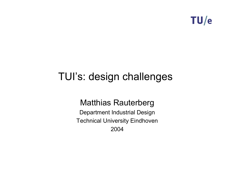

# TUI's: design challenges

# Matthias Rauterberg

Department Industrial Design Technical University Eindhoven 2004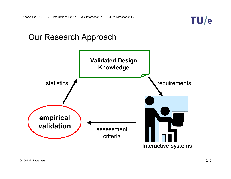

# Our Research Approach



Interactive systems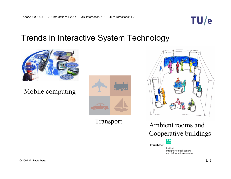

# Trends in Interactive System Technology



Mobile computing



Transport



Ambient rooms and Cooperative buildings



Fraunhofer

Institut Integrierte Publikationsund Informationssysteme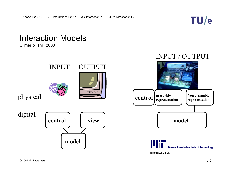

# Interaction Models

Ullmer & Ishii, 2000

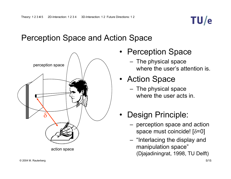

# Perception Space and Action Space



- Perception Space
	- The physical space where the user's attention is.
- Action Space
	- The physical space where the user acts in.
- • Design Principle:
	- perception space and action space must coincide! [δ=0]
	- "Interlacing the display and manipulation space" (Djajadiningrat, 1998, TU Delft)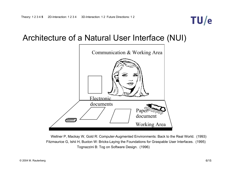

# Architecture of a Natural User Interface (NUI)



Tognazzini B: Tog on Software Design. (1996) Wellner P, Mackay W, Gold R: Computer-Augmented Environments: Back to the Real World. (1993) Fitzmaurice G, Ishii H, Buxton W: Bricks-Laying the Foundations for Graspable User Interfaces. (1995)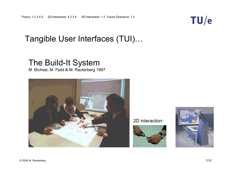# Tangible User Interfaces (TUI)…

# The Build-It System

M. Bichsel, M. Fjeld & M. Rauterberg 1997



2D interaction:





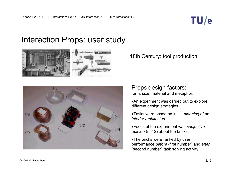

# Interaction Props: user study







#### Props design factors: form, size, material and metaphor:

•An experiment was carried out to explore different design strategies.

•Tasks were based on initial *planning* of an *interior architectur*e.

•Focus of the experiment was *subjective opinion* (n=12) about the bricks.

•The bricks were ranked by user performance *before* (first number) and *after* (second number) task solving activity.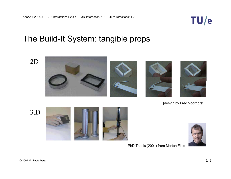

# The Build-It System: tangible props

2D



[design by Fred Voorhorst]

3.D





PhD Thesis (2001) from Morten Fjeld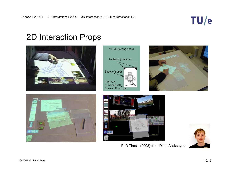# TU/e

# 2D Interaction Props











PhD Thesis (2003) from Dima Aliakseyeu

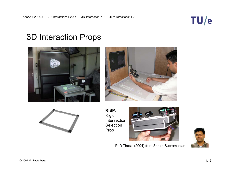

# 3D Interaction Props







**RISP**: Rigid Intersection Selection Prop



PhD Thesis (2004) from Sriram Subramanian

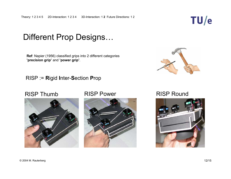

# Different Prop Designs…

**Ref**: Napier (1956) classified grips into 2 different categories **'precision grip'** and **'power grip'**.

### RISP := **R**igid **I**nter-**S**ection **P**rop







## RISP Power RISP Round

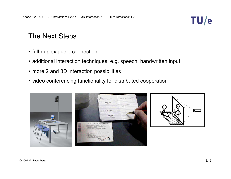

# The Next Steps

- full-duplex audio connection
- additional interaction techniques, e.g. speech, handwritten input
- more 2 and 3D interaction possibilities
- video conferencing functionality for distributed cooperation

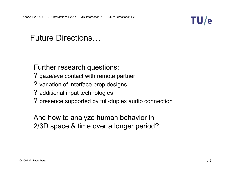

# Future Directions…

Further research questions:

- ? gaze/eye contact with remote partner
- ? variation of interface prop designs
- ? additional input technologies
- ? presence supported by full-duplex audio connection

And how to analyze human behavior in 2/3D space & time over a longer period?